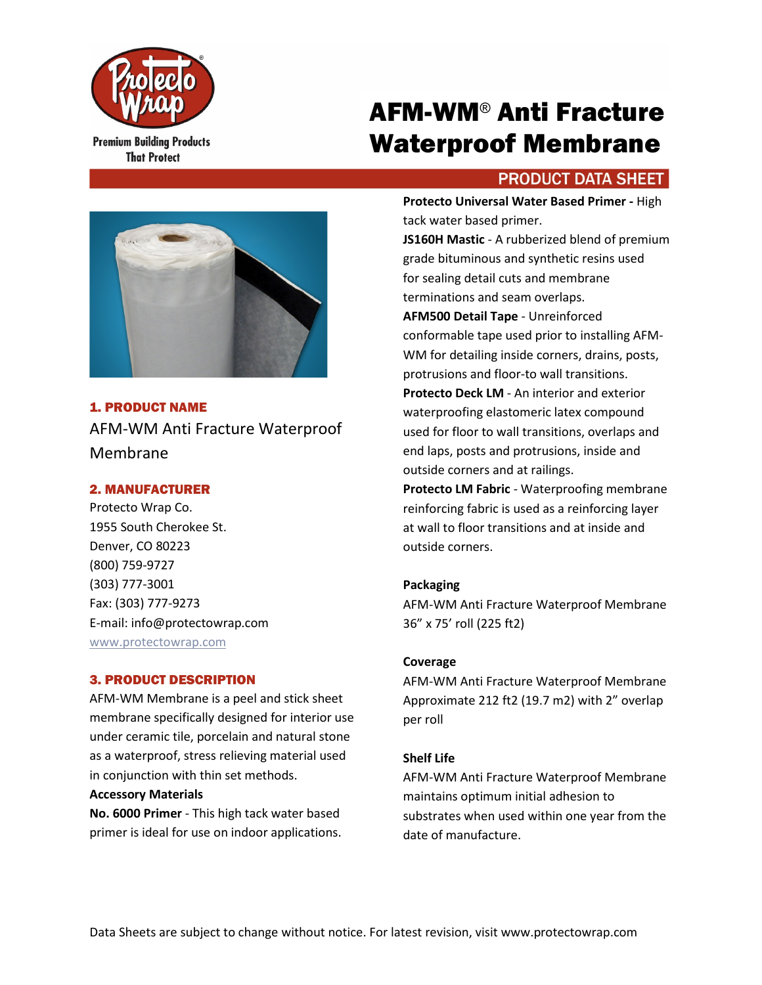

**Premium Building Products That Protect** 

# AFM-WM® Anti Fracture Waterproof Membrane

# **PRODUCT DATA SHEET**



## 1. PRODUCT NAME

AFM-WM Anti Fracture Waterproof Membrane

## 2. MANUFACTURER

Protecto Wrap Co. 1955 South Cherokee St. Denver, CO 80223 (800) 759-9727 (303) 777-3001 Fax: (303) 777-9273 E-mail: info@protectowrap.com [www.protectowrap.com](http://www.protectowrap.com/)

## 3. PRODUCT DESCRIPTION

AFM-WM Membrane is a peel and stick sheet membrane specifically designed for interior use under ceramic tile, porcelain and natural stone as a waterproof, stress relieving material used in conjunction with thin set methods.

#### **Accessory Materials**

**No. 6000 Primer** - This high tack water based primer is ideal for use on indoor applications.

**Protecto Universal Water Based Primer -** High tack water based primer.

**JS160H Mastic** - A rubberized blend of premium grade bituminous and synthetic resins used for sealing detail cuts and membrane terminations and seam overlaps.

**AFM500 Detail Tape** - Unreinforced conformable tape used prior to installing AFM-WM for detailing inside corners, drains, posts, protrusions and floor-to wall transitions. **Protecto Deck LM** - An interior and exterior waterproofing elastomeric latex compound used for floor to wall transitions, overlaps and end laps, posts and protrusions, inside and outside corners and at railings.

**Protecto LM Fabric** - Waterproofing membrane reinforcing fabric is used as a reinforcing layer at wall to floor transitions and at inside and outside corners.

## **Packaging**

AFM-WM Anti Fracture Waterproof Membrane 36" x 75' roll (225 ft2)

## **Coverage**

AFM-WM Anti Fracture Waterproof Membrane Approximate 212 ft2 (19.7 m2) with 2" overlap per roll

## **Shelf Life**

AFM-WM Anti Fracture Waterproof Membrane maintains optimum initial adhesion to substrates when used within one year from the date of manufacture.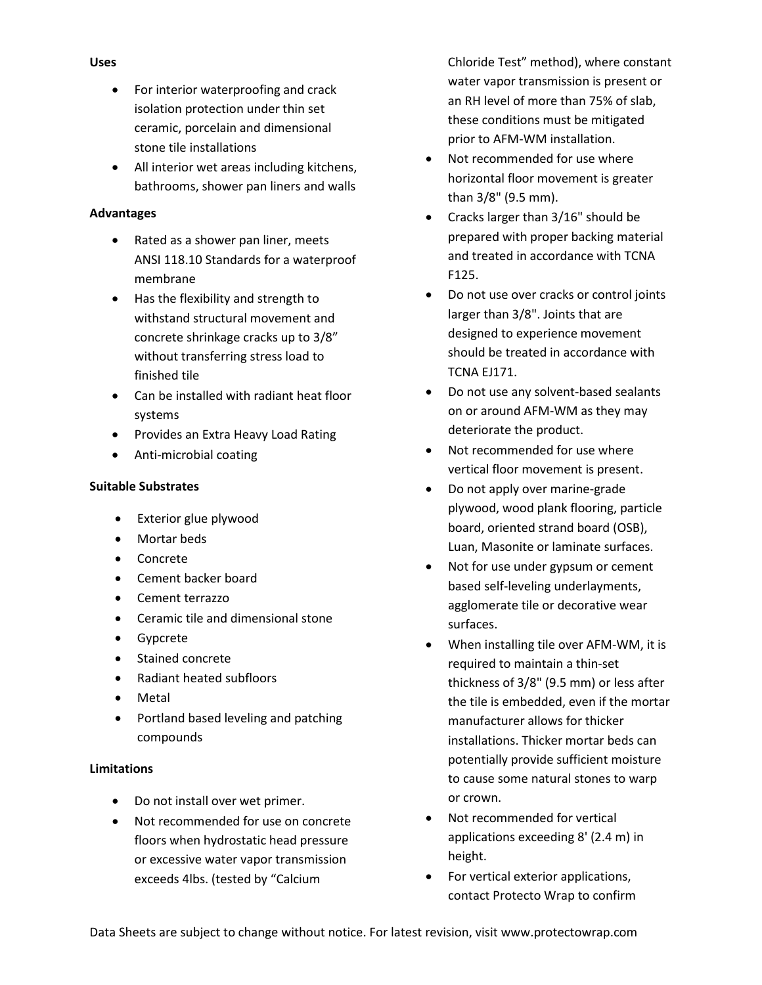- For interior waterproofing and crack isolation protection under thin set ceramic, porcelain and dimensional stone tile installations
- All interior wet areas including kitchens, bathrooms, shower pan liners and walls

## **Advantages**

- Rated as a shower pan liner, meets ANSI 118.10 Standards for a waterproof membrane
- Has the flexibility and strength to withstand structural movement and concrete shrinkage cracks up to 3/8" without transferring stress load to finished tile
- Can be installed with radiant heat floor systems
- Provides an Extra Heavy Load Rating
- Anti-microbial coating

## **Suitable Substrates**

- Exterior glue plywood
- Mortar beds
- Concrete
- Cement backer board
- Cement terrazzo
- Ceramic tile and dimensional stone
- Gypcrete
- Stained concrete
- Radiant heated subfloors
- Metal
- Portland based leveling and patching compounds

## **Limitations**

- Do not install over wet primer.
- Not recommended for use on concrete floors when hydrostatic head pressure or excessive water vapor transmission exceeds 4lbs. (tested by "Calcium

Chloride Test" method), where constant water vapor transmission is present or an RH level of more than 75% of slab, these conditions must be mitigated prior to AFM-WM installation.

- Not recommended for use where horizontal floor movement is greater than 3/8" (9.5 mm).
- Cracks larger than 3/16" should be prepared with proper backing material and treated in accordance with TCNA F125.
- Do not use over cracks or control joints larger than 3/8". Joints that are designed to experience movement should be treated in accordance with TCNA EJ171.
- Do not use any solvent-based sealants on or around AFM-WM as they may deteriorate the product.
- Not recommended for use where vertical floor movement is present.
- Do not apply over marine-grade plywood, wood plank flooring, particle board, oriented strand board (OSB), Luan, Masonite or laminate surfaces.
- Not for use under gypsum or cement based self-leveling underlayments, agglomerate tile or decorative wear surfaces.
- When installing tile over AFM-WM, it is required to maintain a thin-set thickness of 3/8" (9.5 mm) or less after the tile is embedded, even if the mortar manufacturer allows for thicker installations. Thicker mortar beds can potentially provide sufficient moisture to cause some natural stones to warp or crown.
- Not recommended for vertical applications exceeding 8' (2.4 m) in height.
- For vertical exterior applications, contact Protecto Wrap to confirm

## **Uses**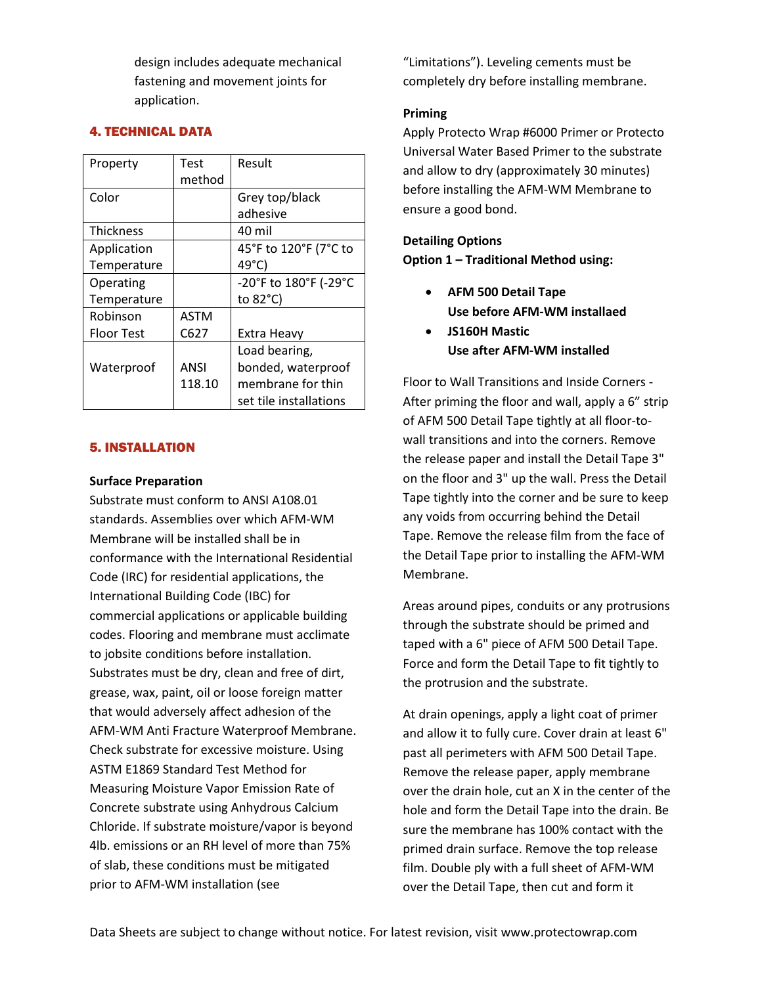design includes adequate mechanical fastening and movement joints for application.

## 4. TECHNICAL DATA

| Property          | Test   | Result                 |
|-------------------|--------|------------------------|
|                   | method |                        |
| Color             |        | Grey top/black         |
|                   |        | adhesive               |
| <b>Thickness</b>  |        | 40 mil                 |
| Application       |        | 45°F to 120°F (7°C to  |
| Temperature       |        | $49^{\circ}$ C)        |
| Operating         |        | -20°F to 180°F (-29°C  |
| Temperature       |        | to 82°C)               |
| Robinson          | ASTM   |                        |
| <b>Floor Test</b> | C627   | Extra Heavy            |
|                   |        | Load bearing,          |
| Waterproof        | ANSI   | bonded, waterproof     |
|                   | 118.10 | membrane for thin      |
|                   |        | set tile installations |

## 5. INSTALLATION

#### **Surface Preparation**

Substrate must conform to ANSI A108.01 standards. Assemblies over which AFM-WM Membrane will be installed shall be in conformance with the International Residential Code (IRC) for residential applications, the International Building Code (IBC) for commercial applications or applicable building codes. Flooring and membrane must acclimate to jobsite conditions before installation. Substrates must be dry, clean and free of dirt, grease, wax, paint, oil or loose foreign matter that would adversely affect adhesion of the AFM-WM Anti Fracture Waterproof Membrane. Check substrate for excessive moisture. Using ASTM E1869 Standard Test Method for Measuring Moisture Vapor Emission Rate of Concrete substrate using Anhydrous Calcium Chloride. If substrate moisture/vapor is beyond 4lb. emissions or an RH level of more than 75% of slab, these conditions must be mitigated prior to AFM-WM installation (see

"Limitations"). Leveling cements must be completely dry before installing membrane.

## **Priming**

Apply Protecto Wrap #6000 Primer or Protecto Universal Water Based Primer to the substrate and allow to dry (approximately 30 minutes) before installing the AFM-WM Membrane to ensure a good bond.

**Detailing Options Option 1 – Traditional Method using:**

- **AFM 500 Detail Tape Use before AFM-WM installaed**
- **JS160H Mastic Use after AFM-WM installed**

Floor to Wall Transitions and Inside Corners - After priming the floor and wall, apply a 6" strip of AFM 500 Detail Tape tightly at all floor-towall transitions and into the corners. Remove the release paper and install the Detail Tape 3" on the floor and 3" up the wall. Press the Detail Tape tightly into the corner and be sure to keep any voids from occurring behind the Detail Tape. Remove the release film from the face of the Detail Tape prior to installing the AFM-WM Membrane.

Areas around pipes, conduits or any protrusions through the substrate should be primed and taped with a 6" piece of AFM 500 Detail Tape. Force and form the Detail Tape to fit tightly to the protrusion and the substrate.

At drain openings, apply a light coat of primer and allow it to fully cure. Cover drain at least 6" past all perimeters with AFM 500 Detail Tape. Remove the release paper, apply membrane over the drain hole, cut an X in the center of the hole and form the Detail Tape into the drain. Be sure the membrane has 100% contact with the primed drain surface. Remove the top release film. Double ply with a full sheet of AFM-WM over the Detail Tape, then cut and form it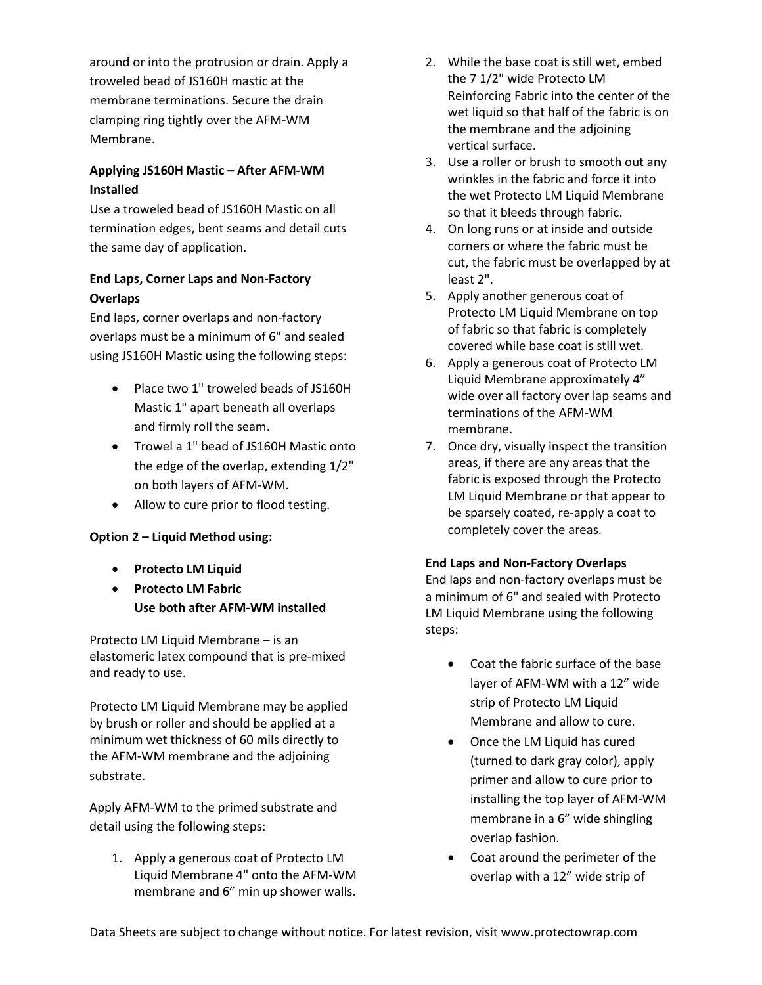around or into the protrusion or drain. Apply a troweled bead of JS160H mastic at the membrane terminations. Secure the drain clamping ring tightly over the AFM-WM Membrane.

## **Applying JS160H Mastic – After AFM-WM Installed**

Use a troweled bead of JS160H Mastic on all termination edges, bent seams and detail cuts the same day of application.

# **End Laps, Corner Laps and Non-Factory Overlaps**

End laps, corner overlaps and non-factory overlaps must be a minimum of 6" and sealed using JS160H Mastic using the following steps:

- Place two 1" troweled beads of JS160H Mastic 1" apart beneath all overlaps and firmly roll the seam.
- Trowel a 1" bead of JS160H Mastic onto the edge of the overlap, extending 1/2" on both layers of AFM-WM.
- Allow to cure prior to flood testing.

## **Option 2 – Liquid Method using:**

- **Protecto LM Liquid**
- **Protecto LM Fabric Use both after AFM-WM installed**

Protecto LM Liquid Membrane – is an elastomeric latex compound that is pre-mixed and ready to use.

Protecto LM Liquid Membrane may be applied by brush or roller and should be applied at a minimum wet thickness of 60 mils directly to the AFM-WM membrane and the adjoining substrate.

Apply AFM-WM to the primed substrate and detail using the following steps:

1. Apply a generous coat of Protecto LM Liquid Membrane 4" onto the AFM-WM membrane and 6" min up shower walls.

- 2. While the base coat is still wet, embed the 7 1/2" wide Protecto LM Reinforcing Fabric into the center of the wet liquid so that half of the fabric is on the membrane and the adjoining vertical surface.
- 3. Use a roller or brush to smooth out any wrinkles in the fabric and force it into the wet Protecto LM Liquid Membrane so that it bleeds through fabric.
- 4. On long runs or at inside and outside corners or where the fabric must be cut, the fabric must be overlapped by at least 2".
- 5. Apply another generous coat of Protecto LM Liquid Membrane on top of fabric so that fabric is completely covered while base coat is still wet.
- 6. Apply a generous coat of Protecto LM Liquid Membrane approximately 4" wide over all factory over lap seams and terminations of the AFM-WM membrane.
- 7. Once dry, visually inspect the transition areas, if there are any areas that the fabric is exposed through the Protecto LM Liquid Membrane or that appear to be sparsely coated, re-apply a coat to completely cover the areas.

## **End Laps and Non-Factory Overlaps**

End laps and non-factory overlaps must be a minimum of 6" and sealed with Protecto LM Liquid Membrane using the following steps:

- Coat the fabric surface of the base layer of AFM-WM with a 12" wide strip of Protecto LM Liquid Membrane and allow to cure.
- Once the LM Liquid has cured (turned to dark gray color), apply primer and allow to cure prior to installing the top layer of AFM-WM membrane in a 6" wide shingling overlap fashion.
- Coat around the perimeter of the overlap with a 12" wide strip of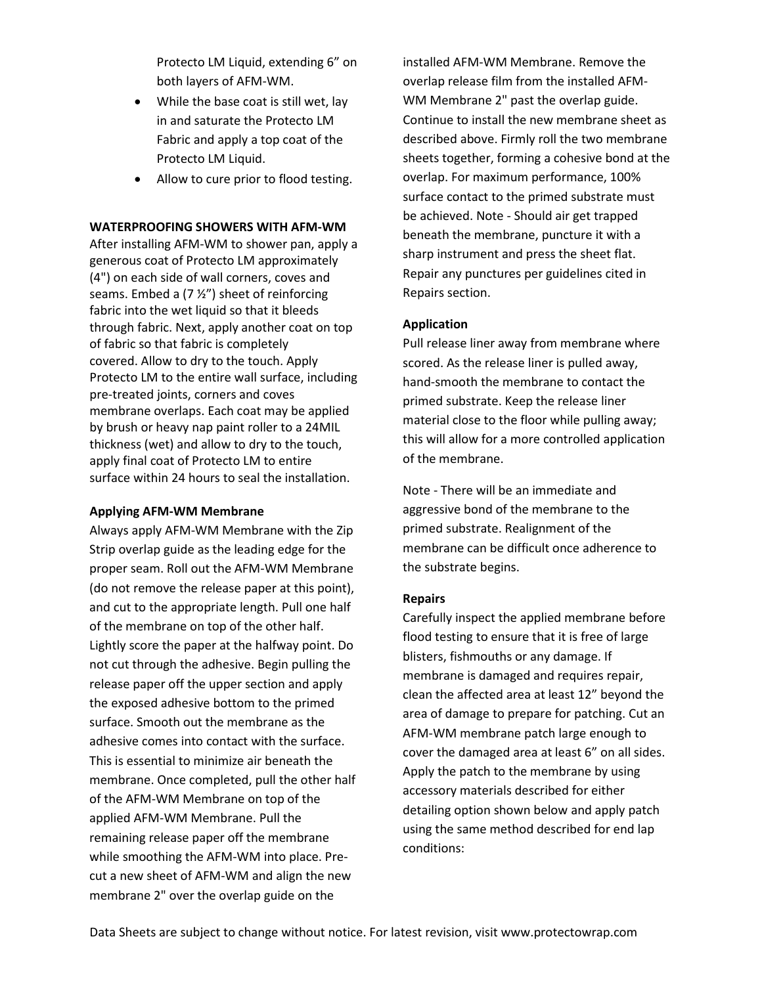Protecto LM Liquid, extending 6" on both layers of AFM-WM.

- While the base coat is still wet, lay in and saturate the Protecto LM Fabric and apply a top coat of the Protecto LM Liquid.
- Allow to cure prior to flood testing.

#### **WATERPROOFING SHOWERS WITH AFM-WM**

After installing AFM-WM to shower pan, apply a generous coat of Protecto LM approximately (4") on each side of wall corners, coves and seams. Embed a  $(7 \frac{1}{2})$  sheet of reinforcing fabric into the wet liquid so that it bleeds through fabric. Next, apply another coat on top of fabric so that fabric is completely covered. Allow to dry to the touch. Apply Protecto LM to the entire wall surface, including pre-treated joints, corners and coves membrane overlaps. Each coat may be applied by brush or heavy nap paint roller to a 24MIL thickness (wet) and allow to dry to the touch, apply final coat of Protecto LM to entire surface within 24 hours to seal the installation.

#### **Applying AFM-WM Membrane**

Always apply AFM-WM Membrane with the Zip Strip overlap guide as the leading edge for the proper seam. Roll out the AFM-WM Membrane (do not remove the release paper at this point), and cut to the appropriate length. Pull one half of the membrane on top of the other half. Lightly score the paper at the halfway point. Do not cut through the adhesive. Begin pulling the release paper off the upper section and apply the exposed adhesive bottom to the primed surface. Smooth out the membrane as the adhesive comes into contact with the surface. This is essential to minimize air beneath the membrane. Once completed, pull the other half of the AFM-WM Membrane on top of the applied AFM-WM Membrane. Pull the remaining release paper off the membrane while smoothing the AFM-WM into place. Precut a new sheet of AFM-WM and align the new membrane 2" over the overlap guide on the

installed AFM-WM Membrane. Remove the overlap release film from the installed AFM-WM Membrane 2" past the overlap guide. Continue to install the new membrane sheet as described above. Firmly roll the two membrane sheets together, forming a cohesive bond at the overlap. For maximum performance, 100% surface contact to the primed substrate must be achieved. Note - Should air get trapped beneath the membrane, puncture it with a sharp instrument and press the sheet flat. Repair any punctures per guidelines cited in Repairs section.

#### **Application**

Pull release liner away from membrane where scored. As the release liner is pulled away, hand-smooth the membrane to contact the primed substrate. Keep the release liner material close to the floor while pulling away; this will allow for a more controlled application of the membrane.

Note - There will be an immediate and aggressive bond of the membrane to the primed substrate. Realignment of the membrane can be difficult once adherence to the substrate begins.

#### **Repairs**

Carefully inspect the applied membrane before flood testing to ensure that it is free of large blisters, fishmouths or any damage. If membrane is damaged and requires repair, clean the affected area at least 12" beyond the area of damage to prepare for patching. Cut an AFM-WM membrane patch large enough to cover the damaged area at least 6" on all sides. Apply the patch to the membrane by using accessory materials described for either detailing option shown below and apply patch using the same method described for end lap conditions: